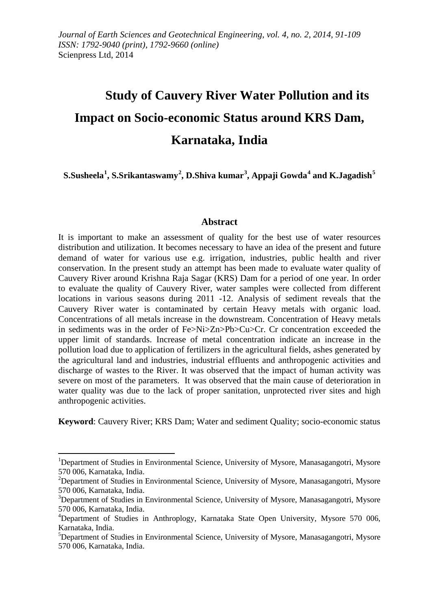# **Study of Cauvery River Water Pollution and its Impact on Socio-economic Status around KRS Dam, Karnataka, India**

 $\bf S.Susheela^1, \bf S.Srikantaswamy^2, \bf D.Shiva kumar^3, \bf Appaji \, Gowda^4 \, and \, K.Jagadish^5$ 

#### **Abstract**

It is important to make an assessment of quality for the best use of water resources distribution and utilization. It becomes necessary to have an idea of the present and future demand of water for various use e.g. irrigation, industries, public health and river conservation. In the present study an attempt has been made to evaluate water quality of Cauvery River around Krishna Raja Sagar (KRS) Dam for a period of one year. In order to evaluate the quality of Cauvery River, water samples were collected from different locations in various seasons during 2011 -12. Analysis of sediment reveals that the Cauvery River water is contaminated by certain Heavy metals with organic load. Concentrations of all metals increase in the downstream. Concentration of Heavy metals in sediments was in the order of Fe>Ni>Zn>Pb>Cu>Cr. Cr concentration exceeded the upper limit of standards. Increase of metal concentration indicate an increase in the pollution load due to application of fertilizers in the agricultural fields, ashes generated by the agricultural land and industries, industrial effluents and anthropogenic activities and discharge of wastes to the River. It was observed that the impact of human activity was severe on most of the parameters. It was observed that the main cause of deterioration in water quality was due to the lack of proper sanitation, unprotected river sites and high anthropogenic activities.

**Keyword**: Cauvery River; KRS Dam; Water and sediment Quality; socio-economic status

 $\overline{a}$ 

<sup>&</sup>lt;sup>1</sup>Department of Studies in Environmental Science, University of Mysore, Manasagangotri, Mysore 570 006, Karnataka, India. <sup>2</sup>

 $^{2}$ Department of Studies in Environmental Science, University of Mysore, Manasagangotri, Mysore 570 006, Karnataka, India. <sup>3</sup>

<sup>&</sup>lt;sup>3</sup>Department of Studies in Environmental Science, University of Mysore, Manasagangotri, Mysore 570 006, Karnataka, India. <sup>4</sup>

Department of Studies in Anthroplogy, Karnataka State Open University, Mysore 570 006, Karnataka, India. <sup>5</sup>

 ${}^{5}$ Department of Studies in Environmental Science, University of Mysore, Manasagangotri, Mysore 570 006, Karnataka, India.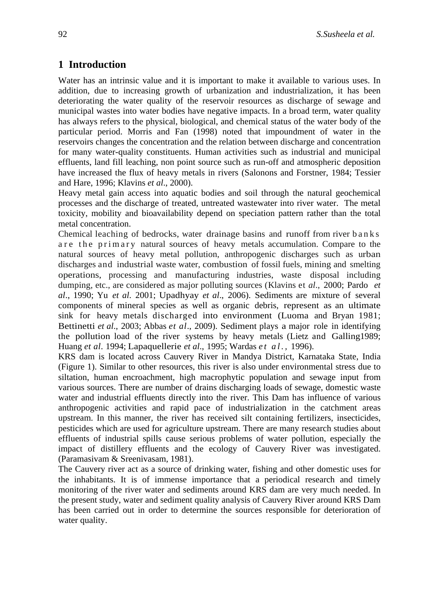### **1 Introduction**

Water has an intrinsic value and it is important to make it available to various uses. In addition, due to increasing growth of urbanization and industrialization, it has been deteriorating the water quality of the reservoir resources as discharge of sewage and municipal wastes into water bodies have negative impacts. In a broad term, water quality has always refers to the physical, biological, and chemical status of the water body of the particular period. Morris and Fan (1998) noted that impoundment of water in the reservoirs changes the concentration and the relation between discharge and concentration for many water-quality constituents. Human activities such as industrial and municipal effluents, land fill leaching, non point source such as run-off and atmospheric deposition have increased the flux of heavy metals in rivers (Salonons and Forstner, 1984; Tessier and Hare, 1996; Klavins *et al*., 2000).

Heavy metal gain access into aquatic bodies and soil through the natural geochemical processes and the discharge of treated, untreated wastewater into river water. The metal toxicity, mobility and bioavailability depend on speciation pattern rather than the total metal concentration.

Chemical leaching of bedrocks, water drainage basins and runoff from river banks are the primary natural sources of heavy metals accumulation. Compare to the natural sources of heavy metal pollution, anthropogenic discharges such as urban discharges and industrial waste water, combustion of fossil fuels, mining and smelting operations, processing and manufacturing industries, waste disposal including dumping, etc., are considered as major polluting sources (Klavins et *al*., 2000; Pardo *et al*., 1990; Yu *et al*. 2001; Upadhyay *et al*., 2006). Sediments are mixture of several components of mineral species as well as organic debris, represent as an ultimate sink for heavy metals discharged into environment (Luoma and Bryan 1981; Bettinetti *et al*., 2003; Abbas *et al*., 2009). Sediment plays a major role in identifying the pollution load of the river systems by heavy metals (Lietz and Galling1989; Huang *et al*. 1994; Lapaquellerie *et al*., 1995; Wardas *et al.,* 1996).

KRS dam is located across Cauvery River in Mandya District, Karnataka State, India (Figure 1). Similar to other resources, this river is also under environmental stress due to siltation, human encroachment, high macrophytic population and sewage input from various sources. There are number of drains discharging loads of sewage, domestic waste water and industrial effluents directly into the river. This Dam has influence of various anthropogenic activities and rapid pace of industrialization in the catchment areas upstream. In this manner, the river has received silt containing fertilizers, insecticides, pesticides which are used for agriculture upstream. There are many research studies about effluents of industrial spills cause serious problems of water pollution, especially the impact of distillery effluents and the ecology of Cauvery River was investigated. (Paramasivam & Sreenivasam, 1981).

The Cauvery river act as a source of drinking water, fishing and other domestic uses for the inhabitants. It is of immense importance that a periodical research and timely monitoring of the river water and sediments around KRS dam are very much needed. In the present study, water and sediment quality analysis of Cauvery River around KRS Dam has been carried out in order to determine the sources responsible for deterioration of water quality.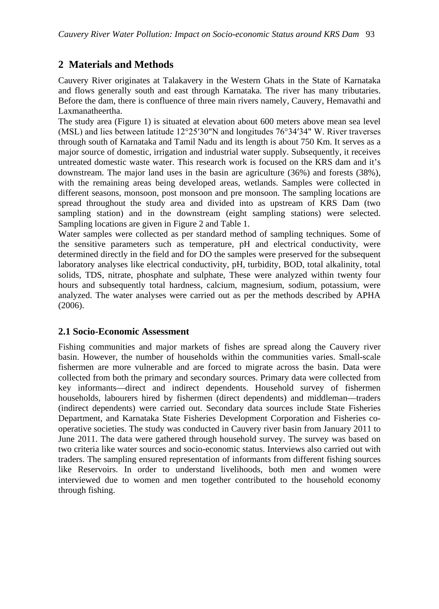## **2 Materials and Methods**

Cauvery River originates at Talakavery in the Western Ghats in the State of Karnataka and flows generally south and east through Karnataka. The river has many tributaries. Before the dam, there is confluence of three main rivers namely, Cauvery, Hemavathi and Laxmanatheertha.

The study area (Figure 1) is situated at elevation about 600 meters above mean sea level (MSL) and lies between latitude 12°25′30"N and longitudes 76°34′34" W. River traverses through south of Karnataka and Tamil Nadu and its length is about 750 Km. It serves as a major source of domestic, irrigation and industrial water supply. Subsequently, it receives untreated domestic waste water. This research work is focused on the KRS dam and it's downstream. The major land uses in the basin are agriculture (36%) and forests (38%), with the remaining areas being developed areas, wetlands. Samples were collected in different seasons, monsoon, post monsoon and pre monsoon. The sampling locations are spread throughout the study area and divided into as upstream of KRS Dam (two sampling station) and in the downstream (eight sampling stations) were selected. Sampling locations are given in Figure 2 and Table 1.

Water samples were collected as per standard method of sampling techniques. Some of the sensitive parameters such as temperature, pH and electrical conductivity, were determined directly in the field and for DO the samples were preserved for the subsequent laboratory analyses like electrical conductivity, pH, turbidity, BOD, total alkalinity, total solids, TDS, nitrate, phosphate and sulphate, These were analyzed within twenty four hours and subsequently total hardness, calcium, magnesium, sodium, potassium, were analyzed. The water analyses were carried out as per the methods described by APHA (2006).

#### **2.1 Socio-Economic Assessment**

Fishing communities and major markets of fishes are spread along the Cauvery river basin. However, the number of households within the communities varies. Small-scale fishermen are more vulnerable and are forced to migrate across the basin. Data were collected from both the primary and secondary sources. Primary data were collected from key informants—direct and indirect dependents. Household survey of fishermen households, labourers hired by fishermen (direct dependents) and middleman—traders (indirect dependents) were carried out. Secondary data sources include State Fisheries Department, and Karnataka State Fisheries Development Corporation and Fisheries cooperative societies. The study was conducted in Cauvery river basin from January 2011 to June 2011. The data were gathered through household survey. The survey was based on two criteria like water sources and socio-economic status. Interviews also carried out with traders. The sampling ensured representation of informants from different fishing sources like Reservoirs. In order to understand livelihoods, both men and women were interviewed due to women and men together contributed to the household economy through fishing.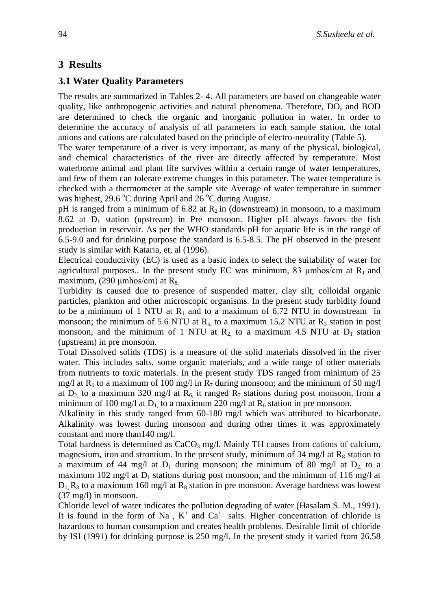## **3 Results**

#### **3.1 Water Quality Parameters**

The results are summarized in Tables 2- 4. All parameters are based on changeable water quality, like anthropogenic activities and natural phenomena. Therefore, DO, and BOD are determined to check the organic and inorganic pollution in water. In order to determine the accuracy of analysis of all parameters in each sample station, the total anions and cations are calculated based on the principle of electro-neutrality (Table 5).

The water temperature of a river is very important, as many of the physical, biological, and chemical characteristics of the river are directly affected by temperature. Most waterborne animal and plant life survives within a certain range of water temperatures, and few of them can tolerate extreme changes in this parameter. The water temperature is checked with a thermometer at the sample site Average of water temperature in summer was highest, 29.6 °C during April and  $26$  °C during August.

pH is ranged from a minimum of 6.82 at  $R_2$  in (downstream) in monsoon, to a maximum 8.62 at  $D_1$  station (upstream) in Pre monsoon. Higher pH always favors the fish production in reservoir. As per the WHO standards pH for aquatic life is in the range of 6.5-9.0 and for drinking purpose the standard is 6.5-8.5. The pH observed in the present study is similar with Kataria, et, al (1996).

Electrical conductivity (EC) is used as a basic index to select the suitability of water for agricultural purposes.. In the present study EC was minimum, 83  $\mu$ mhos/cm at R<sub>1</sub> and maximum, (290  $\mu$ mhos/cm) at R<sub>8.</sub>

Turbidity is caused due to presence of suspended matter, clay silt, colloidal organic particles, plankton and other microscopic organisms. In the present study turbidity found to be a minimum of 1 NTU at  $R_1$  and to a maximum of 6.72 NTU in downstream in monsoon; the minimum of 5.6 NTU at  $R_5$  to a maximum 15.2 NTU at  $R_3$  station in post monsoon, and the minimum of 1 NTU at  $R_2$  to a maximum 4.5 NTU at  $D_1$  station (upstream) in pre monsoon.

Total Dissolved solids (TDS) is a measure of the solid materials dissolved in the river water. This includes salts, some organic materials, and a wide range of other materials from nutrients to toxic materials. In the present study TDS ranged from minimum of 25 mg/l at R<sub>1</sub> to a maximum of 100 mg/l in R<sub>7</sub> during monsoon; and the minimum of 50 mg/l at  $D_2$  to a maximum 320 mg/l at  $R_6$ , it ranged  $R_7$  stations during post monsoon, from a minimum of 100 mg/l at  $D_1$  to a maximum 220 mg/l at  $R_6$  station in pre monsoon.

Alkalinity in this study ranged from 60-180 mg/l which was attributed to bicarbonate. Alkalinity was lowest during monsoon and during other times it was approximately constant and more than140 mg/l.

Total hardness is determined as  $CaCO<sub>3</sub>$  mg/l. Mainly TH causes from cations of calcium, magnesium, iron and strontium. In the present study, minimum of 34 mg/l at  $R_8$  station to a maximum of 44 mg/l at  $D_1$  during monsoon; the minimum of 80 mg/l at  $D_2$  to a maximum 102 mg/l at  $D_1$  stations during post monsoon, and the minimum of 116 mg/l at  $D_1$ ,  $R_3$  to a maximum 160 mg/l at  $R_8$  station in pre monsoon. Average hardness was lowest (37 mg/l) in monsoon.

Chloride level of water indicates the pollution degrading of water (Hasalam S. M., 1991). It is found in the form of Na<sup>+</sup>, K<sup>+</sup> and Ca<sup>++</sup> salts. Higher concentration of chloride is hazardous to human consumption and creates health problems. Desirable limit of chloride by ISI (1991) for drinking purpose is 250 mg/l. In the present study it varied from 26.58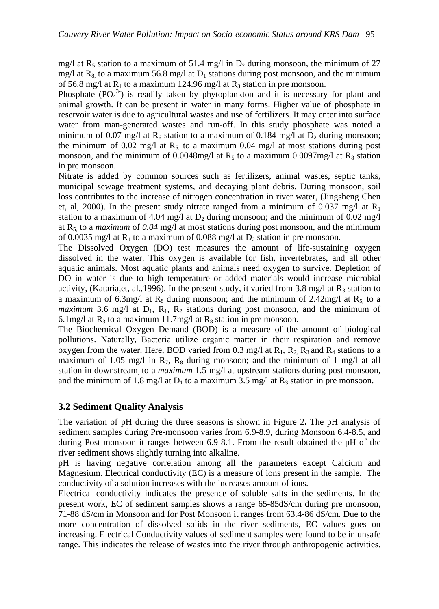mg/l at  $R_5$  station to a maximum of 51.4 mg/l in  $D_2$  during monsoon, the minimum of 27 mg/l at R<sub>8</sub> to a maximum 56.8 mg/l at D<sub>1</sub> stations during post monsoon, and the minimum of 56.8 mg/l at  $R_1$  to a maximum 124.96 mg/l at  $R_3$  station in pre monsoon.

Phosphate  $(PO_4^3)$  is readily taken by phytoplankton and it is necessary for plant and animal growth. It can be present in water in many forms. Higher value of phosphate in reservoir water is due to agricultural wastes and use of fertilizers. It may enter into surface water from man-generated wastes and run-off. In this study phosphate was noted a minimum of 0.07 mg/l at R<sub>6</sub> station to a maximum of 0.184 mg/l at  $D_2$  during monsoon; the minimum of 0.02 mg/l at  $R_5$  to a maximum 0.04 mg/l at most stations during post monsoon, and the minimum of 0.0048mg/l at R<sub>5</sub> to a maximum 0.0097mg/l at R<sub>8</sub> station in pre monsoon.

Nitrate is added by common sources such as fertilizers, animal wastes, septic tanks, municipal sewage treatment systems, and decaying plant debris. During monsoon, soil loss contributes to the increase of nitrogen concentration in river water, (Jingsheng Chen et, al, 2000). In the present study nitrate ranged from a minimum of 0.037 mg/l at  $R_1$ station to a maximum of 4.04 mg/l at  $D_2$  during monsoon; and the minimum of 0.02 mg/l at R5, to a *maximum* of *0.04* mg/l at most stations during post monsoon, and the minimum of 0.0035 mg/l at  $R_1$  to a maximum of 0.088 mg/l at  $D_2$  station in pre monsoon.

The Dissolved Oxygen (DO) test measures the amount of life-sustaining oxygen dissolved in the water. This oxygen is available for fish, invertebrates, and all other aquatic animals. Most aquatic plants and animals need oxygen to survive. Depletion of DO in water is due to high temperature or added materials would increase microbial activity, (Kataria, et, al., 1996). In the present study, it varied from 3.8 mg/l at  $R_3$  station to a maximum of 6.3mg/l at R<sub>8</sub> during monsoon; and the minimum of 2.42mg/l at R<sub>5</sub> to a *maximum* 3.6 mg/l at  $D_1$ ,  $R_1$ ,  $R_2$  stations during post monsoon, and the minimum of 6.1mg/l at  $R_3$  to a maximum 11.7mg/l at  $R_8$  station in pre monsoon.

The Biochemical Oxygen Demand (BOD) is a measure of the amount of biological pollutions. Naturally, Bacteria utilize organic matter in their respiration and remove oxygen from the water. Here, BOD varied from 0.3 mg/l at  $R_1$ ,  $R_2$ ,  $R_3$  and  $R_4$  stations to a maximum of 1.05 mg/l in  $R_7$ ,  $R_8$  during monsoon; and the minimum of 1 mg/l at all station in downstream, to a *maximum* 1.5 mg/l at upstream stations during post monsoon, and the minimum of 1.8 mg/l at  $D_1$  to a maximum 3.5 mg/l at  $R_3$  station in pre monsoon.

#### **3.2 Sediment Quality Analysis**

The variation of pH during the three seasons is shown in Figure 2**.** The pH analysis of sediment samples during Pre-monsoon varies from 6.9-8.9, during Monsoon 6.4-8.5, and during Post monsoon it ranges between 6.9-8.1. From the result obtained the pH of the river sediment shows slightly turning into alkaline.

pH is having negative correlation among all the parameters except Calcium and Magnesium. Electrical conductivity (EC) is a measure of ions present in the sample. The conductivity of a solution increases with the increases amount of ions.

Electrical conductivity indicates the presence of soluble salts in the sediments. In the present work, EC of sediment samples shows a range 65-85dS/cm during pre monsoon, 71-88 dS/cm in Monsoon and for Post Monsoon it ranges from 63.4-86 dS/cm. Due to the more concentration of dissolved solids in the river sediments, EC values goes on increasing. Electrical Conductivity values of sediment samples were found to be in unsafe range. This indicates the release of wastes into the river through anthropogenic activities.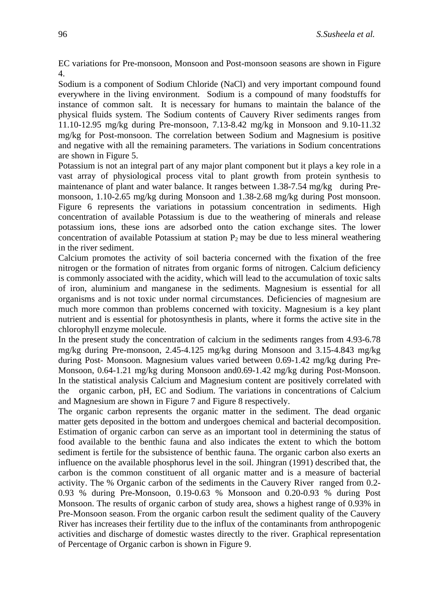EC variations for Pre-monsoon, Monsoon and Post-monsoon seasons are shown in Figure 4.

Sodium is a component of Sodium Chloride (NaCl) and very important compound found everywhere in the living environment. Sodium is a compound of many foodstuffs for instance of common salt. It is necessary for humans to maintain the balance of the physical fluids system. The Sodium contents of Cauvery River sediments ranges from 11.10-12.95 mg/kg during Pre-monsoon, 7.13-8.42 mg/kg in Monsoon and 9.10-11.32 mg/kg for Post-monsoon. The correlation between Sodium and Magnesium is positive and negative with all the remaining parameters. The variations in Sodium concentrations are shown in Figure 5.

Potassium is not an integral part of any major plant component but it plays a key role in a vast array of physiological process vital to plant growth from protein synthesis to maintenance of plant and water balance. It ranges between 1.38-7.54 mg/kg during Premonsoon, 1.10-2.65 mg/kg during Monsoon and 1.38-2.68 mg/kg during Post monsoon. Figure 6 represents the variations in potassium concentration in sediments. High concentration of available Potassium is due to the weathering of minerals and release potassium ions, these ions are adsorbed onto the cation exchange sites. The lower concentration of available Potassium at station  $P_2$  may be due to less mineral weathering in the river sediment.

Calcium promotes the activity of soil bacteria concerned with the fixation of the free nitrogen or the formation of nitrates from organic forms of nitrogen. Calcium deficiency is commonly associated with the acidity, which will lead to the accumulation of toxic salts of iron, aluminium and manganese in the sediments. Magnesium is essential for all organisms and is not toxic under normal circumstances. Deficiencies of magnesium are much more common than problems concerned with toxicity. Magnesium is a key plant nutrient and is essential for photosynthesis in plants, where it forms the active site in the chlorophyll enzyme molecule.

In the present study the concentration of calcium in the sediments ranges from 4.93-6.78 mg/kg during Pre-monsoon, 2.45-4.125 mg/kg during Monsoon and 3.15-4.843 mg/kg during Post- Monsoon. Magnesium values varied between 0.69-1.42 mg/kg during Pre-Monsoon, 0.64-1.21 mg/kg during Monsoon and0.69-1.42 mg/kg during Post-Monsoon. In the statistical analysis Calcium and Magnesium content are positively correlated with the organic carbon, pH, EC and Sodium. The variations in concentrations of Calcium and Magnesium are shown in Figure 7 and Figure 8 respectively.

The organic carbon represents the organic matter in the sediment. The dead organic matter gets deposited in the bottom and undergoes chemical and bacterial decomposition. Estimation of organic carbon can serve as an important tool in determining the status of food available to the benthic fauna and also indicates the extent to which the bottom sediment is fertile for the subsistence of benthic fauna. The organic carbon also exerts an influence on the available phosphorus level in the soil. Jhingran (1991) described that, the carbon is the common constituent of all organic matter and is a measure of bacterial activity. The % Organic carbon of the sediments in the Cauvery River ranged from 0.2- 0.93 % during Pre-Monsoon, 0.19-0.63 % Monsoon and 0.20-0.93 % during Post Monsoon. The results of organic carbon of study area, shows a highest range of 0.93% in Pre-Monsoon season. From the organic carbon result the sediment quality of the Cauvery River has increases their fertility due to the influx of the contaminants from anthropogenic activities and discharge of domestic wastes directly to the river. Graphical representation of Percentage of Organic carbon is shown in Figure 9.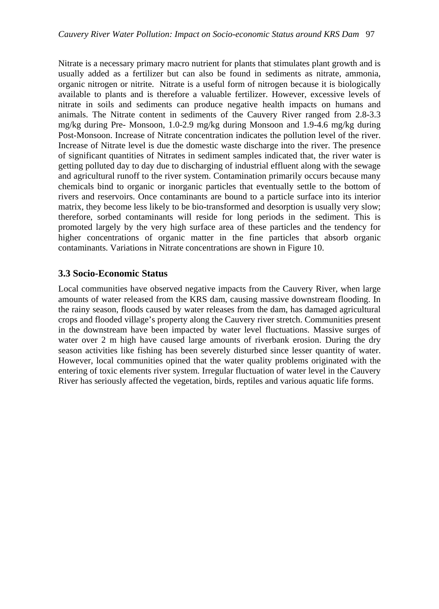Nitrate is a necessary primary macro nutrient for plants that stimulates plant growth and is usually added as a fertilizer but can also be found in sediments as nitrate, ammonia, organic nitrogen or nitrite. Nitrate is a useful form of nitrogen because it is biologically available to plants and is therefore a valuable fertilizer. However, excessive levels of nitrate in soils and sediments can produce negative health impacts on humans and animals. The Nitrate content in sediments of the Cauvery River ranged from 2.8-3.3 mg/kg during Pre- Monsoon, 1.0-2.9 mg/kg during Monsoon and 1.9-4.6 mg/kg during Post-Monsoon. Increase of Nitrate concentration indicates the pollution level of the river. Increase of Nitrate level is due the domestic waste discharge into the river. The presence of significant quantities of Nitrates in sediment samples indicated that, the river water is getting polluted day to day due to discharging of industrial effluent along with the sewage and agricultural runoff to the river system. Contamination primarily occurs because many chemicals bind to organic or inorganic particles that eventually settle to the bottom of rivers and reservoirs. Once contaminants are bound to a particle surface into its interior matrix, they become less likely to be bio-transformed and desorption is usually very slow; therefore, sorbed contaminants will reside for long periods in the sediment. This is promoted largely by the very high surface area of these particles and the tendency for higher concentrations of organic matter in the fine particles that absorb organic contaminants. Variations in Nitrate concentrations are shown in Figure 10.

#### **3.3 Socio-Economic Status**

Local communities have observed negative impacts from the Cauvery River, when large amounts of water released from the KRS dam, causing massive downstream flooding. In the rainy season, floods caused by water releases from the dam, has damaged agricultural crops and flooded village's property along the Cauvery river stretch. Communities present in the downstream have been impacted by water level fluctuations. Massive surges of water over 2 m high have caused large amounts of riverbank erosion. During the dry season activities like fishing has been severely disturbed since lesser quantity of water. However, local communities opined that the water quality problems originated with the entering of toxic elements river system. Irregular fluctuation of water level in the Cauvery River has seriously affected the vegetation, birds, reptiles and various aquatic life forms.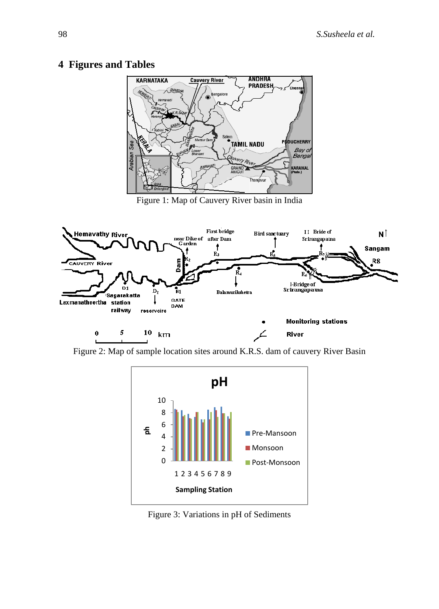## **4 Figures and Tables**



Figure 1: Map of Cauvery River basin in India



Figure 2: Map of sample location sites around K.R.S. dam of cauvery River Basin



Figure 3: Variations in pH of Sediments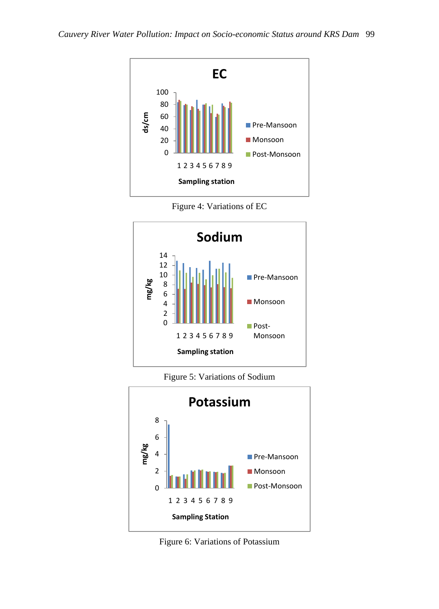

Figure 4: Variations of EC



Figure 5: Variations of Sodium



Figure 6: Variations of Potassium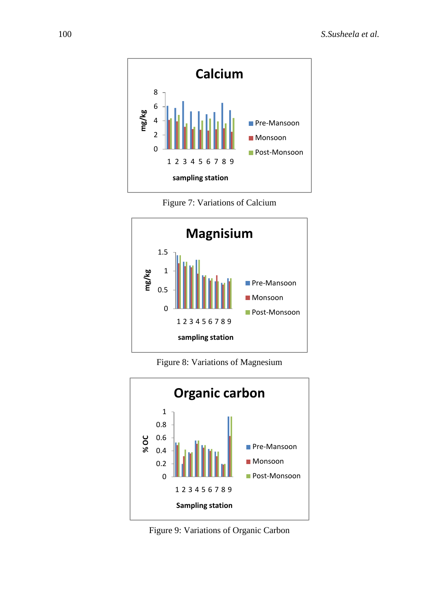





Figure 8: Variations of Magnesium



Figure 9: Variations of Organic Carbon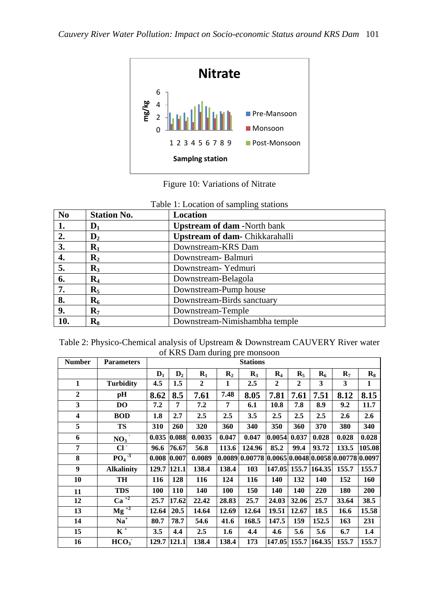

Figure 10: Variations of Nitrate

| N <sub>0</sub> | <b>Station No.</b> | Location                              |
|----------------|--------------------|---------------------------------------|
| 1.             | $\mathbf{D}_1$     | <b>Upstream of dam -North bank</b>    |
| 2.             | $\mathbf{D}_2$     | <b>Upstream of dam-</b> Chikkarahalli |
| 3.             | $\mathbf{R}_1$     | Downstream-KRS Dam                    |
| 4.             | $\mathbf{R}_2$     | Downstream-Balmuri                    |
| 5.             | $\mathbf{R}_3$     | Downstream - Yedmuri                  |
| 6.             | $\mathbf{R}_4$     | Downstream-Belagola                   |
| 7.             | $\mathbf{R}_5$     | Downstream-Pump house                 |
| 8.             | $\mathbf{R}_{6}$   | Downstream-Birds sanctuary            |
| 9.             | $\mathbf{R}_{7}$   | Downstream-Temple                     |
| 10.            | $\mathbf{R}_8$     | Downstream-Nimishambha temple         |

| Table 1: Location of sampling stations |  |  |  |  |  |
|----------------------------------------|--|--|--|--|--|
|----------------------------------------|--|--|--|--|--|

| Table 2: Physico-Chemical analysis of Upstream & Downstream CAUVERY River water |  |                               |  |  |
|---------------------------------------------------------------------------------|--|-------------------------------|--|--|
|                                                                                 |  | of KRS Dam during pre monsoon |  |  |

| <b>Number</b>           | <b>Parameters</b>           |             | <b>Stations</b> |                |                |                                                        |                |                  |                     |                  |                |  |  |
|-------------------------|-----------------------------|-------------|-----------------|----------------|----------------|--------------------------------------------------------|----------------|------------------|---------------------|------------------|----------------|--|--|
|                         |                             | $D_1$       | $\mathbf{D}_2$  | $R_1$          | $\mathbf{R}_2$ | $\mathbf{R}_{3}$                                       | $\mathbf{R}_4$ | $\mathbf{R}_{5}$ | $\mathbf{R}_{6}$    | $\mathbf{R}_{7}$ | $\mathbf{R}_8$ |  |  |
| 1                       | <b>Turbidity</b>            | 4.5         | 1.5             | $\overline{2}$ | 1              | 2.5                                                    | $\overline{2}$ | $\overline{2}$   | 3                   | 3                | 1              |  |  |
| $\mathbf{2}$            | pН                          | 8.62        | 8.5             | 7.61           | 7.48           | 8.05                                                   | 7.81           | 7.61             | 7.51                | 8.12             | 8.15           |  |  |
| 3                       | DO                          | 7.2         | 7               | 7.2            | 7              | 6.1                                                    | 10.8           | 7.8              | 8.9                 | 9.2              | 11.7           |  |  |
| $\overline{\mathbf{4}}$ | <b>BOD</b>                  | 1.8         | 2.7             | 2.5            | 2.5            | 3.5                                                    | 2.5            | 2.5              | 2.5                 | 2.6              | 2.6            |  |  |
| 5                       | <b>TS</b>                   | 310         | 260             | 320            | 360            | 340                                                    | 350            | 360              | 370                 | 380              | 340            |  |  |
| 6                       | NO <sub>3</sub>             |             | 0.035 0.088     | 0.0035         | 0.047          | 0.047                                                  | 0.0054         | 0.037            | 0.028               | 0.028            | 0.028          |  |  |
| $\overline{7}$          | $Cl^+$                      | 96.6        | 76.67           | 56.8           | 113.6          | 124.96                                                 | 85.2           | 99.4             | 93.72               | 133.5            | 105.08         |  |  |
| 8                       | $PO4-3$                     |             | 0.008 0.007     | 0.0089         |                | $ 0.0089 0.00778 0.0065 0.0048 0.0058 0.00778 0.0097 $ |                |                  |                     |                  |                |  |  |
| 9                       | <b>Alkalinity</b>           | 129.7 121.1 |                 | 138.4          | 138.4          | 103                                                    |                |                  | 147.05 155.7 164.35 | 155.7            | 155.7          |  |  |
| 10                      | TН                          | 116         | 128             | 116            | 124            | 116                                                    | 140            | 132              | 140                 | 152              | 160            |  |  |
| 11                      | <b>TDS</b>                  | <b>100</b>  | <b>110</b>      | 140            | 100            | 150                                                    | 140            | 140              | 220                 | 180              | 200            |  |  |
| 12                      | $\overline{Ca}^{+2}$        | 25.7        | 17.62           | 22.42          | 28.83          | 25.7                                                   | 24.03          | 32.06            | 25.7                | 33.64            | 38.5           |  |  |
| 13                      | $\overline{\text{Mg}^{+2}}$ | 12.64       | 20.5            | 14.64          | 12.69          | 12.64                                                  | 19.51          | 12.67            | 18.5                | 16.6             | 15.58          |  |  |
| 14                      | $Na+$                       | 80.7        | 78.7            | 54.6           | 41.6           | 168.5                                                  | 147.5          | 159              | 152.5               | 163              | 231            |  |  |
| 15                      | $K^+$                       | 3.5         | 4.4             | 2.5            | 1.6            | 4.4                                                    | 4.6            | 5.6              | 5.6                 | 6.7              | 1.4            |  |  |
| 16                      | HCO <sub>3</sub>            | 129.7       | 121.1           | 138.4          | 138.4          | 173                                                    | 147.05 155.7   |                  | 164.35              | 155.7            | 155.7          |  |  |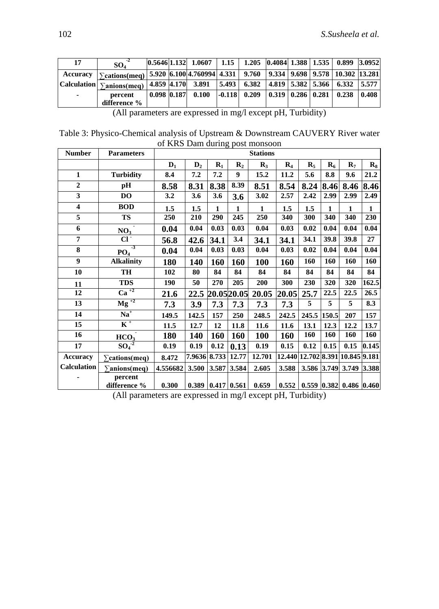| 17       | SO <sub>4</sub>                                                                                                      |                 | $\vert 0.5646 \vert 1.132 \vert 1.0607 \vert 1.15 \vert 1.205 \vert 0.4084 \vert 1.388 \vert 1.535 \vert 0.899 \vert 3.0952 \vert$ |                |  |                                                    |       |
|----------|----------------------------------------------------------------------------------------------------------------------|-----------------|------------------------------------------------------------------------------------------------------------------------------------|----------------|--|----------------------------------------------------|-------|
| Accuracy | $\Sigma_{\text{cations} (meq)}$   5.920   6.100   4.760994   4.331   9.760   9.334   9.698   9.578   10.302   13.281 |                 |                                                                                                                                    |                |  |                                                    |       |
|          | $ Calculation _{\sum_{\text{anions}(meq)}$                                                                           |                 | 4.859   4.170   3.891   5.493   6.382   4.819   5.382   5.366   6.332   5.577                                                      |                |  |                                                    |       |
| $\sim$   | percent                                                                                                              | $0.098$ $0.187$ | 0.100                                                                                                                              | $-0.118$ 0.209 |  | $\mid 0.319 \mid 0.286 \mid 0.281 \mid 0.238 \mid$ | 0.408 |
|          | difference %                                                                                                         |                 |                                                                                                                                    |                |  |                                                    |       |

(All parameters are expressed in mg/l except pH, Turbidity)

Table 3: Physico-Chemical analysis of Upstream & Downstream CAUVERY River water of KRS Dam during post monsoon

| <b>Number</b>           | <b>Parameters</b>                           |                |                |              | $\circ$ .                          | <b>Stations</b> |                                  |                   |              |                                   |                    |
|-------------------------|---------------------------------------------|----------------|----------------|--------------|------------------------------------|-----------------|----------------------------------|-------------------|--------------|-----------------------------------|--------------------|
|                         |                                             | $\mathbf{D}_1$ | $\mathbf{D}_2$ | $R_1$        | $\mathbf{R}_2$                     | $\mathbf{R}_3$  | $\mathbf{R}_4$                   | $\mathbf{R}_{5}$  | $R_6$        | $\mathbf{R}_{7}$                  | $\mathbf{R}_8$     |
| $\mathbf{1}$            | <b>Turbidity</b>                            | 8.4            | 7.2            | 7.2          | 9                                  | 15.2            | 11.2                             | 5.6               | 8.8          | 9.6                               | 21.2               |
| $\overline{2}$          | pH                                          | 8.58           | 8.31           | 8.38         | 8.39                               | 8.51            | 8.54                             | 8.24              | 8.46         | 8.46                              | 8.46               |
| $\overline{\mathbf{3}}$ | D <sub>O</sub>                              | 3.2            | 3.6            | 3.6          | 3.6                                | 3.02            | 2.57                             | 2.42              | 2.99         | 2.99                              | 2.49               |
| $\boldsymbol{4}$        | <b>BOD</b>                                  | 1.5            | 1.5            | $\mathbf{1}$ | $\mathbf{1}$                       | $\mathbf{1}$    | 1.5                              | 1.5               | $\mathbf{1}$ | $\mathbf{1}$                      | $\mathbf{1}$       |
| $\overline{5}$          | <b>TS</b>                                   | 250            | 210            | 290          | 245                                | 250             | 340                              | 300               | 340          | 340                               | 230                |
| 6                       | $\overline{\phantom{a}}$<br>NO <sub>3</sub> | 0.04           | 0.04           | 0.03         | 0.03                               | 0.04            | 0.03                             | 0.02              | 0.04         | 0.04                              | 0.04               |
| $\overline{7}$          | $Cl^{\dagger}$                              | 56.8           | 42.6           | 34.1         | 3.4                                | 34.1            | 34.1                             | 34.1              | 39.8         | 39.8                              | 27                 |
| $\bf 8$                 | $-3$<br>PO <sub>4</sub>                     | 0.04           | 0.04           | 0.03         | 0.03                               | 0.04            | 0.03                             | 0.02              | 0.04         | 0.04                              | 0.04               |
| 9                       | <b>Alkalinity</b>                           | 180            | 140            | 160          | 160                                | 100             | 160                              | 160               | 160          | 160                               | 160                |
| 10                      | TH                                          | 102            | 80             | 84           | 84                                 | 84              | 84                               | 84                | 84           | 84                                | 84                 |
| 11                      | <b>TDS</b>                                  | 190            | 50             | 270          | 205                                | 200             | 300                              | 230               | 320          | 320                               | $\overline{162.5}$ |
| 12                      | $\overline{\mathrm{Ca}^{+2}}$               | 21.6           | 22.5           |              | 20.0520.05                         | 20.05           | 20.05                            | 25.7              | 22.5         | 22.5                              | 26.5               |
| 13                      | $Mg^{12}$                                   | 7.3            | 3.9            | 7.3          | 7.3                                | 7.3             | 7.3                              | 5                 | 5            | 5                                 | 8.3                |
| 14                      | $\overline{Na}^+$                           | 149.5          | 142.5          | 157          | 250                                | 248.5           | 242.5                            | 245.5             | 150.5        | 207                               | 157                |
| 15                      | $K^+$                                       | 11.5           | 12.7           | 12           | 11.8                               | 11.6            | 11.6                             | 13.1              | 12.3         | 12.2                              | 13.7               |
| 16                      | HCO <sub>3</sub>                            | 180            | 140            | 160          | 160                                | 100             | 160                              | 160               | 160          | 160                               | 160                |
| 17                      | $\overline{{\rm SO}_4}^2$                   | 0.19           | 0.19           | 0.12         | 0.13                               | 0.19            | 0.15                             | 0.12              | 0.15         | 0.15                              | 0.145              |
| <b>Accuracy</b>         | $\sum$ cations(meq)                         | 8.472          | 7.9636 8.733   |              | 12.77                              | 12.701          | 12.440 12.702 8.391 10.845 9.181 |                   |              |                                   |                    |
| <b>Calculation</b>      | $\sum$ anions(meq)                          | 4.556682       | 3.500          | 3.587        | 3.584                              | 2.605           | 3.588                            | 3.586 3.749 3.749 |              |                                   | 3.388              |
|                         | percent<br>difference %                     | 0.300          |                |              | $0.389 \mid 0.417 \mid 0.561 \mid$ | 0.659           | 0.552                            |                   |              | $0.559$ $ 0.382 $ 0.486 $ 0.460 $ |                    |

(All parameters are expressed in mg/l except pH, Turbidity)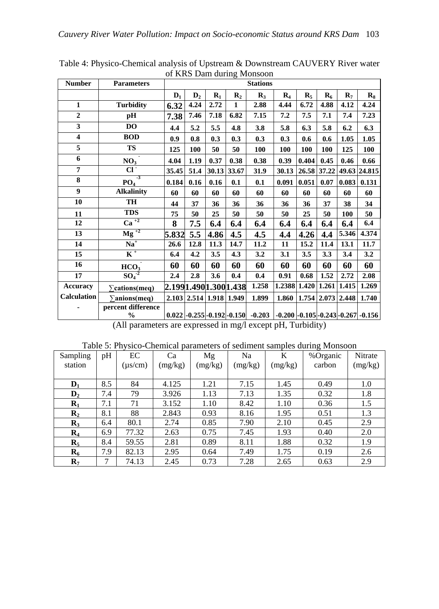| <b>Number</b>           | <b>Parameters</b>                   |                |                |                         |                      | <b>Stations</b>                                                        |                                       |                |       |                  |                |
|-------------------------|-------------------------------------|----------------|----------------|-------------------------|----------------------|------------------------------------------------------------------------|---------------------------------------|----------------|-------|------------------|----------------|
|                         |                                     | $\mathbf{D}_1$ | $\mathbf{D}_2$ | $R_1$                   | $\mathbf{R}_2$       | $\mathbf{R}_3$                                                         | $\mathbf{R}_4$                        | $\mathbf{R}_5$ | $R_6$ | $\mathbf{R}_{7}$ | $\mathbf{R}_8$ |
| $\mathbf{1}$            | <b>Turbidity</b>                    | 6.32           | 4.24           | 2.72                    | 1                    | 2.88                                                                   | 4.44                                  | 6.72           | 4.88  | 4.12             | 4.24           |
| $\overline{2}$          | pH                                  | 7.38           | 7.46           | 7.18                    | 6.82                 | 7.15                                                                   | 7.2                                   | 7.5            | 7.1   | 7.4              | 7.23           |
| $\overline{\mathbf{3}}$ | DO                                  | 4.4            | 5.2            | 5.5                     | 4.8                  | 3.8                                                                    | 5.8                                   | 6.3            | 5.8   | 6.2              | 6.3            |
| $\overline{\mathbf{4}}$ | <b>BOD</b>                          | 0.9            | 0.8            | 0.3                     | 0.3                  | 0.3                                                                    | 0.3                                   | 0.6            | 0.6   | 1.05             | 1.05           |
| 5                       | <b>TS</b>                           | 125            | 100            | 50                      | 50                   | <b>100</b>                                                             | 100                                   | 100            | 100   | 125              | 100            |
| 6                       | NO <sub>3</sub>                     | 4.04           | 1.19           | 0.37                    | 0.38                 | 0.38                                                                   | 0.39                                  | 0.404          | 0.45  | 0.46             | 0.66           |
| $\overline{7}$          | $Cl^{\dagger}$                      | 35.45          | 51.4           | 30.13 33.67             |                      | 31.9                                                                   | 30.13                                 | 26.58 37.22    |       |                  | 49.63 24.815   |
| 8                       | $-3$<br>PO <sub>4</sub>             | 0.184          | 0.16           | 0.16                    | 0.1                  | 0.1                                                                    | 0.091                                 | 0.051          | 0.07  | 0.083            | 0.131          |
| $\boldsymbol{9}$        | <b>Alkalinity</b>                   | 60             | 60             | 60                      | 60                   | 60                                                                     | 60                                    | 60             | 60    | 60               | 60             |
| 10                      | TH                                  | 44             | 37             | 36                      | 36                   | 36                                                                     | 36                                    | 36             | 37    | 38               | 34             |
| 11                      | <b>TDS</b>                          | 75             | 50             | 25                      | 50                   | 50                                                                     | 50                                    | 25             | 50    | 100              | 50             |
| 12                      | $\overline{\mathrm{Ca}^{+2}}$       | 8              | 7.5            | 6.4                     | 6.4                  | 6.4                                                                    | 6.4                                   | 6.4            | 6.4   | 6.4              | 6.4            |
| 13                      | $\overline{\text{Mg}}^{+2}$         | 5.832          | 5.5            | 4.86                    | 4.5                  | 4.5                                                                    | 4.4                                   | 4.26           | 4.4   | 5.346            | 4.374          |
| 14                      | $Na+$                               | 26.6           | 12.8           | 11.3                    | 14.7                 | 11.2                                                                   | 11                                    | 15.2           | 11.4  | 13.1             | 11.7           |
| 15                      | $K^+$                               | 6.4            | 4.2            | 3.5                     | 4.3                  | 3.2                                                                    | 3.1                                   | 3.5            | 3.3   | 3.4              | 3.2            |
| 16                      | HCO <sub>3</sub>                    | 60             | 60             | 60                      | 60                   | 60                                                                     | 60                                    | 60             | 60    | 60               | 60             |
| 17                      | $\overline{{\rm SO}_4}^2$           | 2.4            | 2.8            | 3.6                     | 0.4                  | 0.4                                                                    | 0.91                                  | 0.68           | 1.52  | 2.72             | 2.08           |
| <b>Accuracy</b>         | $\sum$ cations(meq)                 |                |                |                         | 2.1991.4901.3001.438 | 1.258                                                                  | 1.2388 1.420                          |                | 1.261 | 1.415            | 1.269          |
| Calculation             | $\sum \text{anions}(\text{meq})$    |                |                | 2.103 2.514 1.918 1.949 |                      | 1.899                                                                  | $1.860$   $1.754$   $2.073$   $2.448$ |                |       |                  | 1.740          |
|                         | percent difference<br>$\frac{1}{2}$ |                |                |                         |                      | $0.022$ -0.255 -0.192 -0.150 -0.203 -0.200 -0.105 -0.243 -0.267 -0.156 |                                       |                |       |                  |                |

Table 4: Physico-Chemical analysis of Upstream & Downstream CAUVERY River water of KRS Dam during Monsoon

(All parameters are expressed in mg/l except pH, Turbidity)

| Sampling         | pH  | EC           | Ca      | Mg      | Na      | K       | %Organic | Nitrate |
|------------------|-----|--------------|---------|---------|---------|---------|----------|---------|
| station          |     | $(\mu s/cm)$ | (mg/kg) | (mg/kg) | (mg/kg) | (mg/kg) | carbon   | (mg/kg) |
|                  |     |              |         |         |         |         |          |         |
| $\mathbf{D}_1$   | 8.5 | 84           | 4.125   | 1.21    | 7.15    | 1.45    | 0.49     | 1.0     |
| D <sub>2</sub>   | 7.4 | 79           | 3.926   | 1.13    | 7.13    | 1.35    | 0.32     | 1.8     |
| $R_1$            | 7.1 | 71           | 3.152   | 1.10    | 8.42    | 1.10    | 0.36     | 1.5     |
| $\mathbf{R}_2$   | 8.1 | 88           | 2.843   | 0.93    | 8.16    | 1.95    | 0.51     | 1.3     |
| $\mathbf{R}_3$   | 6.4 | 80.1         | 2.74    | 0.85    | 7.90    | 2.10    | 0.45     | 2.9     |
| $\mathbf{R}_4$   | 6.9 | 77.32        | 2.63    | 0.75    | 7.45    | 1.93    | 0.40     | 2.0     |
| $\mathbf{R}_5$   | 8.4 | 59.55        | 2.81    | 0.89    | 8.11    | 1.88    | 0.32     | 1.9     |
| $\mathbf{R}_{6}$ | 7.9 | 82.13        | 2.95    | 0.64    | 7.49    | 1.75    | 0.19     | 2.6     |
| $\mathbf{R}_{7}$ | 7   | 74.13        | 2.45    | 0.73    | 7.28    | 2.65    | 0.63     | 2.9     |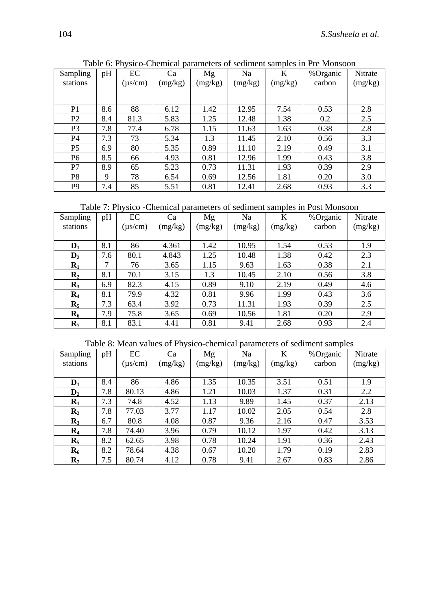| Sampling<br>stations | pH  | EC<br>$(\mu s/cm)$ | Ca<br>(mg/kg) | Mg<br>(mg/kg) | Na<br>(mg/kg) | K<br>(mg/kg) | %Organic<br>carbon | Nitrate<br>(mg/kg) |
|----------------------|-----|--------------------|---------------|---------------|---------------|--------------|--------------------|--------------------|
|                      |     |                    |               |               |               |              |                    |                    |
| P <sub>1</sub>       | 8.6 | 88                 | 6.12          | 1.42          | 12.95         | 7.54         | 0.53               | 2.8                |
| P2                   | 8.4 | 81.3               | 5.83          | 1.25          | 12.48         | 1.38         | 0.2                | 2.5                |
| P <sub>3</sub>       | 7.8 | 77.4               | 6.78          | 1.15          | 11.63         | 1.63         | 0.38               | 2.8                |
| P <sub>4</sub>       | 7.3 | 73                 | 5.34          | 1.3           | 11.45         | 2.10         | 0.56               | 3.3                |
| P <sub>5</sub>       | 6.9 | 80                 | 5.35          | 0.89          | 11.10         | 2.19         | 0.49               | 3.1                |
| P <sub>6</sub>       | 8.5 | 66                 | 4.93          | 0.81          | 12.96         | 1.99         | 0.43               | 3.8                |
| P7                   | 8.9 | 65                 | 5.23          | 0.73          | 11.31         | 1.93         | 0.39               | 2.9                |
| P8                   | 9   | 78                 | 6.54          | 0.69          | 12.56         | 1.81         | 0.20               | 3.0                |
| P <sub>9</sub>       | 7.4 | 85                 | 5.51          | 0.81          | 12.41         | 2.68         | 0.93               | 3.3                |

Table 6: Physico-Chemical parameters of sediment samples in Pre Monsoon

Table 7: Physico -Chemical parameters of sediment samples in Post Monsoon

| Sampling         | pH  | EC           | Ca      | Mg      | Na      | K       | %Organic | Nitrate |
|------------------|-----|--------------|---------|---------|---------|---------|----------|---------|
| stations         |     | $(\mu s/cm)$ | (mg/kg) | (mg/kg) | (mg/kg) | (mg/kg) | carbon   | (mg/kg) |
|                  |     |              |         |         |         |         |          |         |
| $\mathbf{D}_1$   | 8.1 | 86           | 4.361   | 1.42    | 10.95   | 1.54    | 0.53     | 1.9     |
| $\mathbf{D}_2$   | 7.6 | 80.1         | 4.843   | 1.25    | 10.48   | 1.38    | 0.42     | 2.3     |
| $R_1$            | 7   | 76           | 3.65    | 1.15    | 9.63    | 1.63    | 0.38     | 2.1     |
| $\mathbf{R}_2$   | 8.1 | 70.1         | 3.15    | 1.3     | 10.45   | 2.10    | 0.56     | 3.8     |
| $\mathbf{R}_3$   | 6.9 | 82.3         | 4.15    | 0.89    | 9.10    | 2.19    | 0.49     | 4.6     |
| $\mathbf{R}_4$   | 8.1 | 79.9         | 4.32    | 0.81    | 9.96    | 1.99    | 0.43     | 3.6     |
| $\mathbf{R}_5$   | 7.3 | 63.4         | 3.92    | 0.73    | 11.31   | 1.93    | 0.39     | 2.5     |
| $\mathbf{R}_{6}$ | 7.9 | 75.8         | 3.65    | 0.69    | 10.56   | 1.81    | 0.20     | 2.9     |
| $\mathbf{R}_{7}$ | 8.1 | 83.1         | 4.41    | 0.81    | 9.41    | 2.68    | 0.93     | 2.4     |

Table 8: Mean values of Physico-chemical parameters of sediment samples

| Sampling<br>stations | pH  | EC<br>$(\mu s/cm)$ | Ca<br>(mg/kg) | Mg<br>(mg/kg) | Na<br>(mg/kg) | K<br>(mg/kg) | %Organic<br>carbon | Nitrate<br>(mg/kg) |
|----------------------|-----|--------------------|---------------|---------------|---------------|--------------|--------------------|--------------------|
|                      |     |                    |               |               |               |              |                    |                    |
| $D_1$                | 8.4 | 86                 | 4.86          | 1.35          | 10.35         | 3.51         | 0.51               | 1.9                |
| D <sub>2</sub>       | 7.8 | 80.13              | 4.86          | 1.21          | 10.03         | 1.37         | 0.31               | 2.2                |
| $R_1$                | 7.3 | 74.8               | 4.52          | 1.13          | 9.89          | 1.45         | 0.37               | 2.13               |
| $\mathbf{R}_2$       | 7.8 | 77.03              | 3.77          | 1.17          | 10.02         | 2.05         | 0.54               | 2.8                |
| $\mathbf{R}_3$       | 6.7 | 80.8               | 4.08          | 0.87          | 9.36          | 2.16         | 0.47               | 3.53               |
| $\mathbf{R}_4$       | 7.8 | 74.40              | 3.96          | 0.79          | 10.12         | 1.97         | 0.42               | 3.13               |
| $\mathbf{R}_5$       | 8.2 | 62.65              | 3.98          | 0.78          | 10.24         | 1.91         | 0.36               | 2.43               |
| $\mathbf{R}_{6}$     | 8.2 | 78.64              | 4.38          | 0.67          | 10.20         | 1.79         | 0.19               | 2.83               |
| $\mathbf{R}_{7}$     | 7.5 | 80.74              | 4.12          | 0.78          | 9.41          | 2.67         | 0.83               | 2.86               |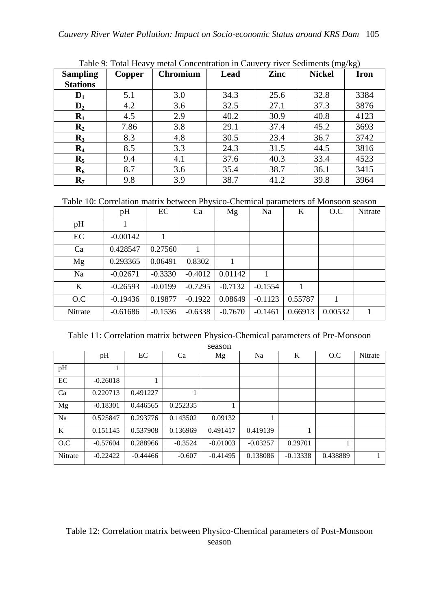| <b>Sampling</b>  | Copper | <b>Chromium</b> | Lead | Zinc | <b>Nickel</b> | Iron |
|------------------|--------|-----------------|------|------|---------------|------|
| <b>Stations</b>  |        |                 |      |      |               |      |
| $\mathbf{D}_1$   | 5.1    | 3.0             | 34.3 | 25.6 | 32.8          | 3384 |
| $\mathbf{D}_2$   | 4.2    | 3.6             | 32.5 | 27.1 | 37.3          | 3876 |
| $\mathbf{R}_1$   | 4.5    | 2.9             | 40.2 | 30.9 | 40.8          | 4123 |
| $\mathbf{R}_2$   | 7.86   | 3.8             | 29.1 | 37.4 | 45.2          | 3693 |
| $\mathbf{R}_3$   | 8.3    | 4.8             | 30.5 | 23.4 | 36.7          | 3742 |
| $\mathbf{R}_4$   | 8.5    | 3.3             | 24.3 | 31.5 | 44.5          | 3816 |
| $\mathbf{R}_5$   | 9.4    | 4.1             | 37.6 | 40.3 | 33.4          | 4523 |
| $\mathbf{R}_{6}$ | 8.7    | 3.6             | 35.4 | 38.7 | 36.1          | 3415 |
| $\mathbf{R}_{7}$ | 9.8    | 3.9             | 38.7 | 41.2 | 39.8          | 3964 |

Table 9: Total Heavy metal Concentration in Cauvery river Sediments (mg/kg)

Table 10: Correlation matrix between Physico-Chemical parameters of Monsoon season

|         | pH         | EC        | Ca        | Mg        | Na        | K       | O.C     | Nitrate |
|---------|------------|-----------|-----------|-----------|-----------|---------|---------|---------|
| pH      |            |           |           |           |           |         |         |         |
| EC      | $-0.00142$ |           |           |           |           |         |         |         |
| Ca      | 0.428547   | 0.27560   | 1         |           |           |         |         |         |
| Mg      | 0.293365   | 0.06491   | 0.8302    |           |           |         |         |         |
| Na      | $-0.02671$ | $-0.3330$ | $-0.4012$ | 0.01142   | 1         |         |         |         |
| K       | $-0.26593$ | $-0.0199$ | $-0.7295$ | $-0.7132$ | $-0.1554$ | 1       |         |         |
| O.C     | $-0.19436$ | 0.19877   | $-0.1922$ | 0.08649   | $-0.1123$ | 0.55787 |         |         |
| Nitrate | $-0.61686$ | $-0.1536$ | $-0.6338$ | $-0.7670$ | $-0.1461$ | 0.66913 | 0.00532 |         |

Table 11: Correlation matrix between Physico-Chemical parameters of Pre-Monsoon season

|         | season     |            |           |            |            |            |          |         |  |
|---------|------------|------------|-----------|------------|------------|------------|----------|---------|--|
|         | pH         | EC         | Ca        | Mg         | Na         | K          | O.C      | Nitrate |  |
| pH      |            |            |           |            |            |            |          |         |  |
| EC      | $-0.26018$ |            |           |            |            |            |          |         |  |
| Ca      | 0.220713   | 0.491227   |           |            |            |            |          |         |  |
| Mg      | $-0.18301$ | 0.446565   | 0.252335  |            |            |            |          |         |  |
| Na      | 0.525847   | 0.293776   | 0.143502  | 0.09132    |            |            |          |         |  |
| K       | 0.151145   | 0.537908   | 0.136969  | 0.491417   | 0.419139   |            |          |         |  |
| O.C     | $-0.57604$ | 0.288966   | $-0.3524$ | $-0.01003$ | $-0.03257$ | 0.29701    |          |         |  |
| Nitrate | $-0.22422$ | $-0.44466$ | $-0.607$  | $-0.41495$ | 0.138086   | $-0.13338$ | 0.438889 | 1       |  |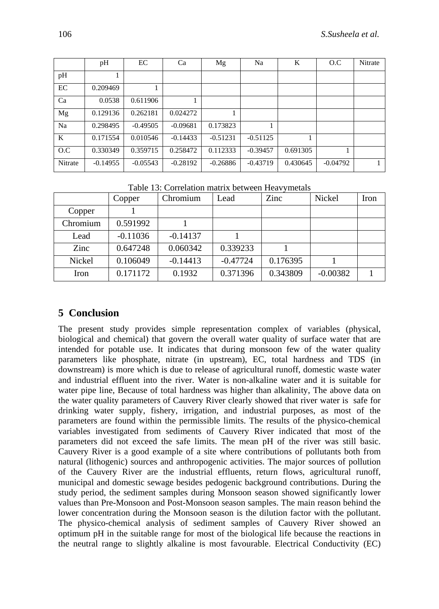|         | pH         | EC         | Ca         | Mg         | Na         | K        | O.C        | <b>Nitrate</b> |
|---------|------------|------------|------------|------------|------------|----------|------------|----------------|
| pH      |            |            |            |            |            |          |            |                |
| EC      | 0.209469   |            |            |            |            |          |            |                |
| Ca      | 0.0538     | 0.611906   |            |            |            |          |            |                |
| Mg      | 0.129136   | 0.262181   | 0.024272   |            |            |          |            |                |
| Na      | 0.298495   | $-0.49505$ | $-0.09681$ | 0.173823   |            |          |            |                |
| K       | 0.171554   | 0.010546   | $-0.14433$ | $-0.51231$ | $-0.51125$ |          |            |                |
| O.C     | 0.330349   | 0.359715   | 0.258472   | 0.112333   | $-0.39457$ | 0.691305 |            |                |
| Nitrate | $-0.14955$ | $-0.05543$ | $-0.28192$ | $-0.26886$ | $-0.43719$ | 0.430645 | $-0.04792$ |                |

|               | Copper     | Chromium   | Lead       | Zinc     | Nickel     | Iron |
|---------------|------------|------------|------------|----------|------------|------|
| Copper        |            |            |            |          |            |      |
| Chromium      | 0.591992   |            |            |          |            |      |
| Lead          | $-0.11036$ | $-0.14137$ |            |          |            |      |
| Zinc          | 0.647248   | 0.060342   | 0.339233   |          |            |      |
| <b>Nickel</b> | 0.106049   | $-0.14413$ | $-0.47724$ | 0.176395 |            |      |
| Iron          | 0.171172   | 0.1932     | 0.371396   | 0.343809 | $-0.00382$ |      |

Table 13: Correlation matrix between Heavymetals

#### **5 Conclusion**

The present study provides simple representation complex of variables (physical, biological and chemical) that govern the overall water quality of surface water that are intended for potable use. It indicates that during monsoon few of the water quality parameters like phosphate, nitrate (in upstream), EC, total hardness and TDS (in downstream) is more which is due to release of agricultural runoff, domestic waste water and industrial effluent into the river. Water is non-alkaline water and it is suitable for water pipe line, Because of total hardness was higher than alkalinity, The above data on the water quality parameters of Cauvery River clearly showed that river water is safe for drinking water supply, fishery, irrigation, and industrial purposes, as most of the parameters are found within the permissible limits. The results of the physico-chemical variables investigated from sediments of Cauvery River indicated that most of the parameters did not exceed the safe limits. The mean pH of the river was still basic. Cauvery River is a good example of a site where contributions of pollutants both from natural (lithogenic) sources and anthropogenic activities. The major sources of pollution of the Cauvery River are the industrial effluents, return flows, agricultural runoff, municipal and domestic sewage besides pedogenic background contributions. During the study period, the sediment samples during Monsoon season showed significantly lower values than Pre-Monsoon and Post-Monsoon season samples. The main reason behind the lower concentration during the Monsoon season is the dilution factor with the pollutant. The physico-chemical analysis of sediment samples of Cauvery River showed an optimum pH in the suitable range for most of the biological life because the reactions in the neutral range to slightly alkaline is most favourable. Electrical Conductivity (EC)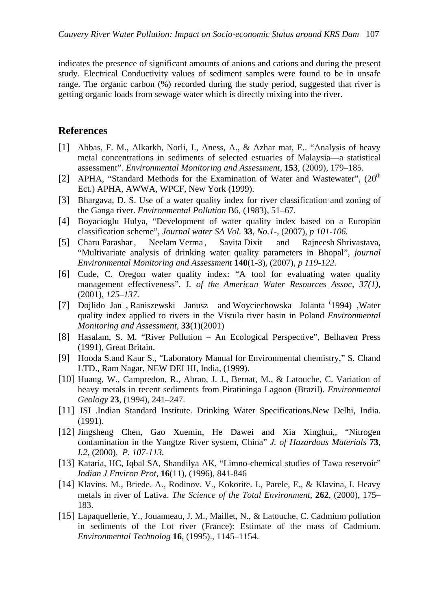indicates the presence of significant amounts of anions and cations and during the present study. Electrical Conductivity values of sediment samples were found to be in unsafe range. The organic carbon (%) recorded during the study period, suggested that river is getting organic loads from sewage water which is directly mixing into the river.

#### **References**

- [1] Abbas, F. M., Alkarkh, Norli, I., Aness, A., & Azhar mat, E.. "Analysis of heavy metal concentrations in sediments of selected estuaries of Malaysia—a statistical assessment". *Environmental Monitoring and Assessment,* **153**, (2009)*,* 179–185.
- [2] APHA, "Standard Methods for the Examination of Water and Wastewater",  $(20<sup>th</sup>$ Ect.) APHA, AWWA, WPCF, New York (1999).
- [3] Bhargava, D. S. Use of a water quality index for river classification and zoning of the Ganga river. *Environmental Pollution* B6, (1983), 51–67.
- [4] Boyacioglu Hulya, "Development of water quality index based on a Europian classification scheme", *Journal water SA Vol.* **33***, No.1-,* (2007), *p 101-106.*
- [5] Charu Parashar, Neelam Verma, Savita Dixit and Rajneesh Shrivastava, "Multivariate analysis of drinking water quality parameters in Bhopal", *journal Environmental Monitoring and Assessment* **140**(1-3)*,* (2007), *p 119-122.*
- [6] Cude, C. Oregon water quality index: "A tool for evaluating water quality management effectiveness". J*. of the American Water Resources Assoc, 37(1),* (2001), *125–137.*
- [7] Dojlido Jan , Raniszewski Janusz and Woyciechowska Jolanta ( 1994) ,Water quality index applied to rivers in the Vistula river basin in Poland *Environmental Monitoring and Assessment,* **33**(1)(2001)
- [8] Hasalam, S. M. "River Pollution An Ecological Perspective", Belhaven Press (1991), Great Britain.
- [9] Hooda S.and Kaur S., "Laboratory Manual for Environmental chemistry," S. Chand LTD., Ram Nagar, NEW DELHI, India, (1999).
- [10] Huang, W., Campredon, R., Abrao, J. J., Bernat, M., & Latouche, C. Variation of heavy metals in recent sediments from Piratininga Lagoon (Brazil). *Environmental Geology* **23**, (1994), 241–247.
- [11] ISI .Indian Standard Institute. Drinking Water Specifications.New Delhi, India. (1991).
- [12] Jingsheng Chen, Gao Xuemin, He Dawei and Xia Xinghui,, "Nitrogen contamination in the Yangtze River system, China" *J. of Hazardous Materials* **73***, I.2,* (2000), *P. 107-113.*
- [13] Kataria, HC, Iqbal SA, Shandilya AK, "Limno-chemical studies of Tawa reservoir" *Indian J Environ Prot,* **16**(11), (1996), 841-846
- [14] Klavins. M., Briede. A., Rodinov. V., Kokorite. I., Parele, E., & Klavina, I. Heavy metals in river of Lativa. *The Science of the Total Environment*, **262**, (2000), 175– 183.
- [15] Lapaquellerie, Y., Jouanneau, J. M., Maillet, N., & Latouche, C. Cadmium pollution in sediments of the Lot river (France): Estimate of the mass of Cadmium. *Environmental Technolog* **16**, (1995).*,* 1145–1154.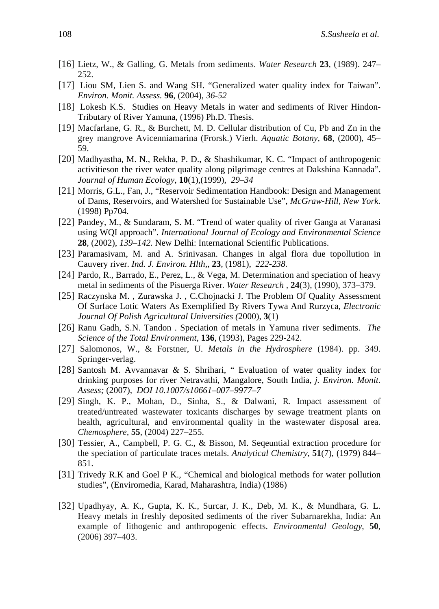- [16] Lietz, W., & Galling, G. Metals from sediments. *Water Research* **23**, (1989). 247– 252.
- [17] Liou SM, Lien S. and Wang SH. "Generalized water quality index for Taiwan". *Environ. Monit. Assess.* **96***,* (2004), *36-52*
- [18] Lokesh K.S. Studies on Heavy Metals in water and sediments of River Hindon-Tributary of River Yamuna, (1996) Ph.D. Thesis.
- [19] Macfarlane, G. R., & Burchett, M. D. Cellular distribution of Cu, Pb and Zn in the grey mangrove Avicenniamarina (Frorsk.) Vierh. *Aquatic Botany,* **68**, (2000), 45– 59.
- [20] Madhyastha, M. N., Rekha, P. D., & Shashikumar, K. C. "Impact of anthropogenic activitieson the river water quality along pilgrimage centres at Dakshina Kannada". *Journal of Human Ecology,* **10**(1),(1999), *29–34*
- [21] Morris, G.L., Fan, J., "Reservoir Sedimentation Handbook: Design and Management of Dams, Reservoirs, and Watershed for Sustainable Use", *McGraw-Hill, New York*. (1998) Pp704.
- [22] Pandey, M., & Sundaram, S. M. "Trend of water quality of river Ganga at Varanasi using WQI approach". *International Journal of Ecology and Environmental Science*  **28***,* (2002), *139–142.* New Delhi: International Scientific Publications.
- [23] Paramasivam, M. and A. Srinivasan. Changes in algal flora due topollution in Cauvery river. *Ind. J. Environ. Hlth,,* **23***,* (1981), *222-238.*
- [24] Pardo, R., Barrado, E., Perez, L., & Vega, M. Determination and speciation of heavy metal in sediments of the Pisuerga River. *Water Research ,* **24**(3), (1990), 373–379.
- [25] Raczynska M. , Zurawska J. , C.Chojnacki J. The Problem Of Quality Assessment Of Surface Lotic Waters As Exemplified By Rivers Tywa And Rurzyca, *Electronic Journal Of Polish Agricultural Universities (*2000), **3**(1)
- [26] Ranu Gadh, S.N. Tandon . Speciation of metals in Yamuna river sediments. *The Science of the Total Environment,* **136**, (1993), Pages 229-242.
- [27] Salomonos, W., & Forstner, U. *Metals in the Hydrosphere* (1984). pp. 349. Springer-verlag.
- [28] Santosh M. Avvannavar *&* S. Shrihari, " Evaluation of water quality index for drinking purposes for river Netravathi, Mangalore, South India, *j. Environ. Monit. Assess;* (2007), *DOI 10.1007/s10661–007–9977–7*
- [29] Singh, K. P., Mohan, D., Sinha, S., & Dalwani, R. Impact assessment of treated/untreated wastewater toxicants discharges by sewage treatment plants on health, agricultural, and environmental quality in the wastewater disposal area. *Chemosphere,* **55**, (2004) 227–255.
- [30] Tessier, A., Campbell, P. G. C., & Bisson, M. Seqeuntial extraction procedure for the speciation of particulate traces metals. *Analytical Chemistry,* **51**(7), (1979) 844– 851.
- [31] Trivedy R.K and Goel P K., "Chemical and biological methods for water pollution studies", (Enviromedia, Karad, Maharashtra, India) (1986)
- [32] Upadhyay, A. K., Gupta, K. K., Surcar, J. K., Deb, M. K., & Mundhara, G. L. Heavy metals in freshly deposited sediments of the river Subarnarekha, India: An example of lithogenic and anthropogenic effects. *Environmental Geology*, **50**, (2006) 397–403.